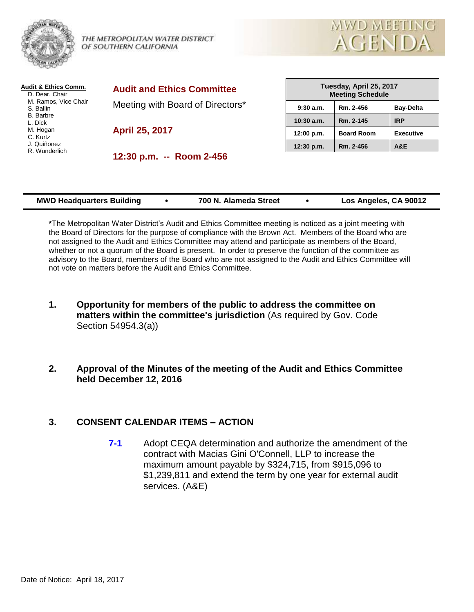

THE METROPOLITAN WATER DISTRICT OF SOUTHERN CALIFORNIA



| <b>Audit &amp; Ethics Comm.</b><br>D. Dear, Chair | <b>Audit and Ethics Committee</b> |              | Tuesday, April 25, 2017<br><b>Meeting Schedule</b> |                  |
|---------------------------------------------------|-----------------------------------|--------------|----------------------------------------------------|------------------|
| M. Ramos, Vice Chair<br>S. Ballin                 | Meeting with Board of Directors*  | $9:30$ a.m.  | Rm. 2-456                                          | <b>Bav-Delta</b> |
| <b>B.</b> Barbre<br>L. Dick                       |                                   | $10:30$ a.m. | Rm. 2-145                                          | <b>IRP</b>       |
| M. Hogan<br>C. Kurtz                              | April 25, 2017                    | 12:00 p.m.   | <b>Board Room</b>                                  | <b>Executive</b> |
| J. Quiñonez<br>R. Wunderlich                      |                                   | 12:30 p.m.   | Rm. 2-456                                          | A&E              |
|                                                   | 12:30 p.m. -- Room 2-456          |              |                                                    |                  |

| <b>MWD Headquarters Building</b><br>Los Angeles, CA 90012<br>700 N. Alameda Street |  |
|------------------------------------------------------------------------------------|--|
|------------------------------------------------------------------------------------|--|

**\***The Metropolitan Water District's Audit and Ethics Committee meeting is noticed as a joint meeting with the Board of Directors for the purpose of compliance with the Brown Act. Members of the Board who are not assigned to the Audit and Ethics Committee may attend and participate as members of the Board, whether or not a quorum of the Board is present. In order to preserve the function of the committee as advisory to the Board, members of the Board who are not assigned to the Audit and Ethics Committee will not vote on matters before the Audit and Ethics Committee.

- **1. Opportunity for members of the public to address the committee on matters within the committee's jurisdiction** (As required by Gov. Code Section 54954.3(a))
- **2. Approval of the Minutes of the meeting of the Audit and Ethics Committee held December 12, 2016**

## **3. CONSENT CALENDAR ITEMS – ACTION**

**7-1** Adopt CEQA determination and authorize the amendment of the contract with Macias Gini O'Connell, LLP to increase the maximum amount payable by \$324,715, from \$915,096 to \$1,239,811 and extend the term by one year for external audit services. (A&E)